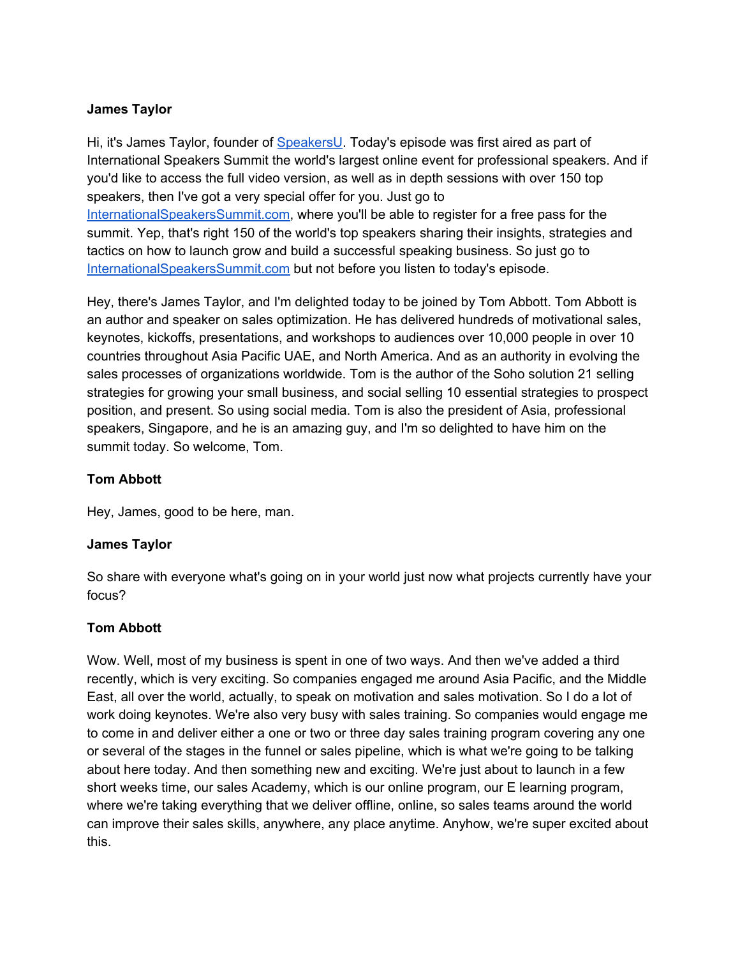Hi, it's James Taylor, founder of [SpeakersU.](https://speakersu.com/) Today's episode was first aired as part of International Speakers Summit the world's largest online event for professional speakers. And if you'd like to access the full video version, as well as in depth sessions with over 150 top speakers, then I've got a very special offer for you. Just go to [InternationalSpeakersSummit.com](http://internationalspeakerssummit.com/), where you'll be able to register for a free pass for the summit. Yep, that's right 150 of the world's top speakers sharing their insights, strategies and tactics on how to launch grow and build a successful speaking business. So just go t[o](http://internationalspeakerssummit.com/) [InternationalSpeakersSummit.com](http://internationalspeakerssummit.com/) but not before you listen to today's episode.

Hey, there's James Taylor, and I'm delighted today to be joined by Tom Abbott. Tom Abbott is an author and speaker on sales optimization. He has delivered hundreds of motivational sales, keynotes, kickoffs, presentations, and workshops to audiences over 10,000 people in over 10 countries throughout Asia Pacific UAE, and North America. And as an authority in evolving the sales processes of organizations worldwide. Tom is the author of the Soho solution 21 selling strategies for growing your small business, and social selling 10 essential strategies to prospect position, and present. So using social media. Tom is also the president of Asia, professional speakers, Singapore, and he is an amazing guy, and I'm so delighted to have him on the summit today. So welcome, Tom.

#### **Tom Abbott**

Hey, James, good to be here, man.

#### **James Taylor**

So share with everyone what's going on in your world just now what projects currently have your focus?

#### **Tom Abbott**

Wow. Well, most of my business is spent in one of two ways. And then we've added a third recently, which is very exciting. So companies engaged me around Asia Pacific, and the Middle East, all over the world, actually, to speak on motivation and sales motivation. So I do a lot of work doing keynotes. We're also very busy with sales training. So companies would engage me to come in and deliver either a one or two or three day sales training program covering any one or several of the stages in the funnel or sales pipeline, which is what we're going to be talking about here today. And then something new and exciting. We're just about to launch in a few short weeks time, our sales Academy, which is our online program, our E learning program, where we're taking everything that we deliver offline, online, so sales teams around the world can improve their sales skills, anywhere, any place anytime. Anyhow, we're super excited about this.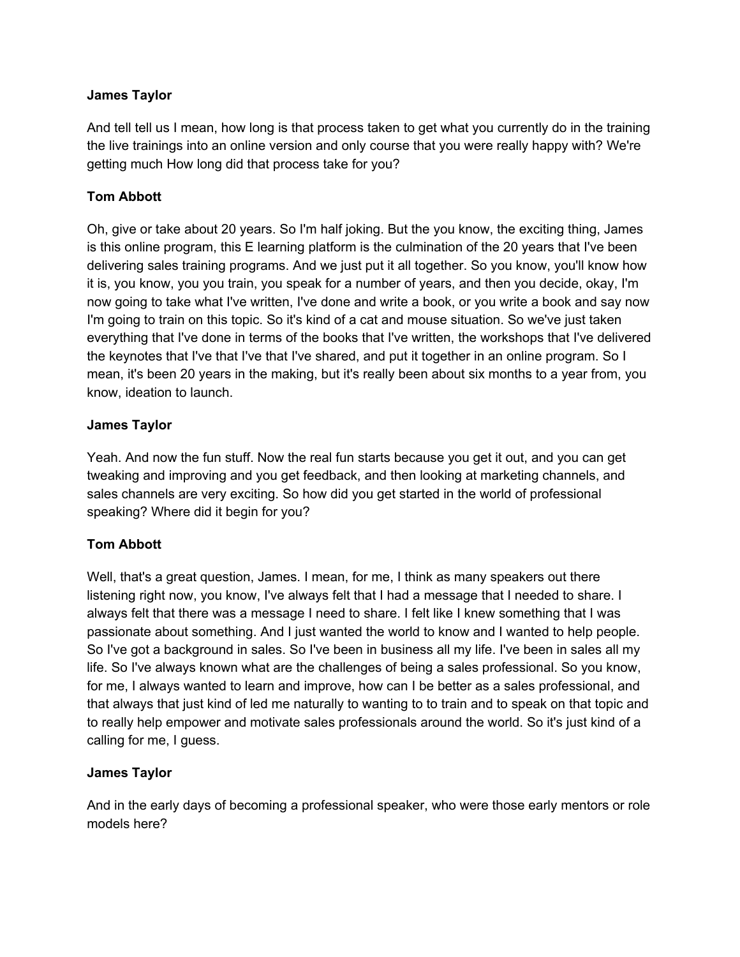And tell tell us I mean, how long is that process taken to get what you currently do in the training the live trainings into an online version and only course that you were really happy with? We're getting much How long did that process take for you?

## **Tom Abbott**

Oh, give or take about 20 years. So I'm half joking. But the you know, the exciting thing, James is this online program, this E learning platform is the culmination of the 20 years that I've been delivering sales training programs. And we just put it all together. So you know, you'll know how it is, you know, you you train, you speak for a number of years, and then you decide, okay, I'm now going to take what I've written, I've done and write a book, or you write a book and say now I'm going to train on this topic. So it's kind of a cat and mouse situation. So we've just taken everything that I've done in terms of the books that I've written, the workshops that I've delivered the keynotes that I've that I've that I've shared, and put it together in an online program. So I mean, it's been 20 years in the making, but it's really been about six months to a year from, you know, ideation to launch.

#### **James Taylor**

Yeah. And now the fun stuff. Now the real fun starts because you get it out, and you can get tweaking and improving and you get feedback, and then looking at marketing channels, and sales channels are very exciting. So how did you get started in the world of professional speaking? Where did it begin for you?

## **Tom Abbott**

Well, that's a great question, James. I mean, for me, I think as many speakers out there listening right now, you know, I've always felt that I had a message that I needed to share. I always felt that there was a message I need to share. I felt like I knew something that I was passionate about something. And I just wanted the world to know and I wanted to help people. So I've got a background in sales. So I've been in business all my life. I've been in sales all my life. So I've always known what are the challenges of being a sales professional. So you know, for me, I always wanted to learn and improve, how can I be better as a sales professional, and that always that just kind of led me naturally to wanting to to train and to speak on that topic and to really help empower and motivate sales professionals around the world. So it's just kind of a calling for me, I guess.

## **James Taylor**

And in the early days of becoming a professional speaker, who were those early mentors or role models here?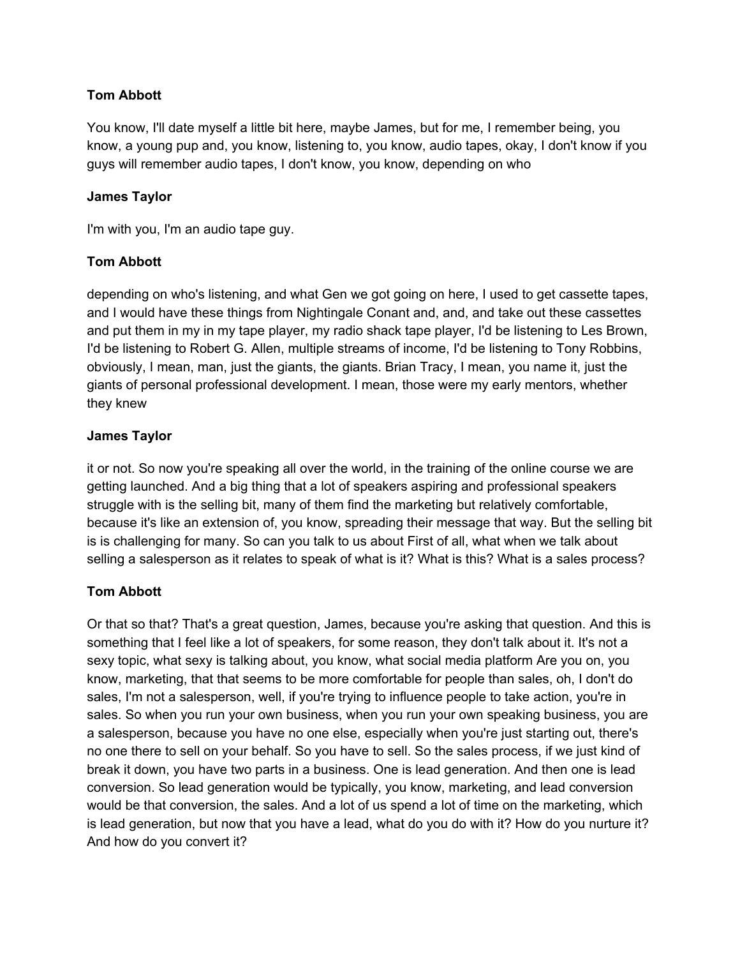#### **Tom Abbott**

You know, I'll date myself a little bit here, maybe James, but for me, I remember being, you know, a young pup and, you know, listening to, you know, audio tapes, okay, I don't know if you guys will remember audio tapes, I don't know, you know, depending on who

#### **James Taylor**

I'm with you, I'm an audio tape guy.

#### **Tom Abbott**

depending on who's listening, and what Gen we got going on here, I used to get cassette tapes, and I would have these things from Nightingale Conant and, and, and take out these cassettes and put them in my in my tape player, my radio shack tape player, I'd be listening to Les Brown, I'd be listening to Robert G. Allen, multiple streams of income, I'd be listening to Tony Robbins, obviously, I mean, man, just the giants, the giants. Brian Tracy, I mean, you name it, just the giants of personal professional development. I mean, those were my early mentors, whether they knew

#### **James Taylor**

it or not. So now you're speaking all over the world, in the training of the online course we are getting launched. And a big thing that a lot of speakers aspiring and professional speakers struggle with is the selling bit, many of them find the marketing but relatively comfortable, because it's like an extension of, you know, spreading their message that way. But the selling bit is is challenging for many. So can you talk to us about First of all, what when we talk about selling a salesperson as it relates to speak of what is it? What is this? What is a sales process?

## **Tom Abbott**

Or that so that? That's a great question, James, because you're asking that question. And this is something that I feel like a lot of speakers, for some reason, they don't talk about it. It's not a sexy topic, what sexy is talking about, you know, what social media platform Are you on, you know, marketing, that that seems to be more comfortable for people than sales, oh, I don't do sales, I'm not a salesperson, well, if you're trying to influence people to take action, you're in sales. So when you run your own business, when you run your own speaking business, you are a salesperson, because you have no one else, especially when you're just starting out, there's no one there to sell on your behalf. So you have to sell. So the sales process, if we just kind of break it down, you have two parts in a business. One is lead generation. And then one is lead conversion. So lead generation would be typically, you know, marketing, and lead conversion would be that conversion, the sales. And a lot of us spend a lot of time on the marketing, which is lead generation, but now that you have a lead, what do you do with it? How do you nurture it? And how do you convert it?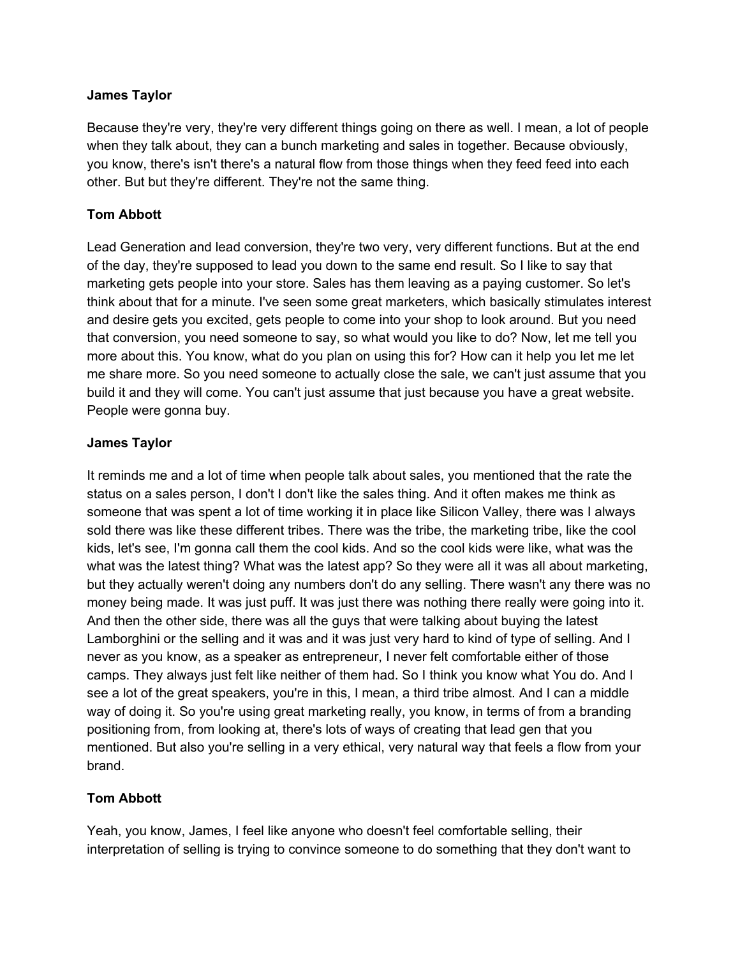Because they're very, they're very different things going on there as well. I mean, a lot of people when they talk about, they can a bunch marketing and sales in together. Because obviously, you know, there's isn't there's a natural flow from those things when they feed feed into each other. But but they're different. They're not the same thing.

#### **Tom Abbott**

Lead Generation and lead conversion, they're two very, very different functions. But at the end of the day, they're supposed to lead you down to the same end result. So I like to say that marketing gets people into your store. Sales has them leaving as a paying customer. So let's think about that for a minute. I've seen some great marketers, which basically stimulates interest and desire gets you excited, gets people to come into your shop to look around. But you need that conversion, you need someone to say, so what would you like to do? Now, let me tell you more about this. You know, what do you plan on using this for? How can it help you let me let me share more. So you need someone to actually close the sale, we can't just assume that you build it and they will come. You can't just assume that just because you have a great website. People were gonna buy.

#### **James Taylor**

It reminds me and a lot of time when people talk about sales, you mentioned that the rate the status on a sales person, I don't I don't like the sales thing. And it often makes me think as someone that was spent a lot of time working it in place like Silicon Valley, there was I always sold there was like these different tribes. There was the tribe, the marketing tribe, like the cool kids, let's see, I'm gonna call them the cool kids. And so the cool kids were like, what was the what was the latest thing? What was the latest app? So they were all it was all about marketing, but they actually weren't doing any numbers don't do any selling. There wasn't any there was no money being made. It was just puff. It was just there was nothing there really were going into it. And then the other side, there was all the guys that were talking about buying the latest Lamborghini or the selling and it was and it was just very hard to kind of type of selling. And I never as you know, as a speaker as entrepreneur, I never felt comfortable either of those camps. They always just felt like neither of them had. So I think you know what You do. And I see a lot of the great speakers, you're in this, I mean, a third tribe almost. And I can a middle way of doing it. So you're using great marketing really, you know, in terms of from a branding positioning from, from looking at, there's lots of ways of creating that lead gen that you mentioned. But also you're selling in a very ethical, very natural way that feels a flow from your brand.

## **Tom Abbott**

Yeah, you know, James, I feel like anyone who doesn't feel comfortable selling, their interpretation of selling is trying to convince someone to do something that they don't want to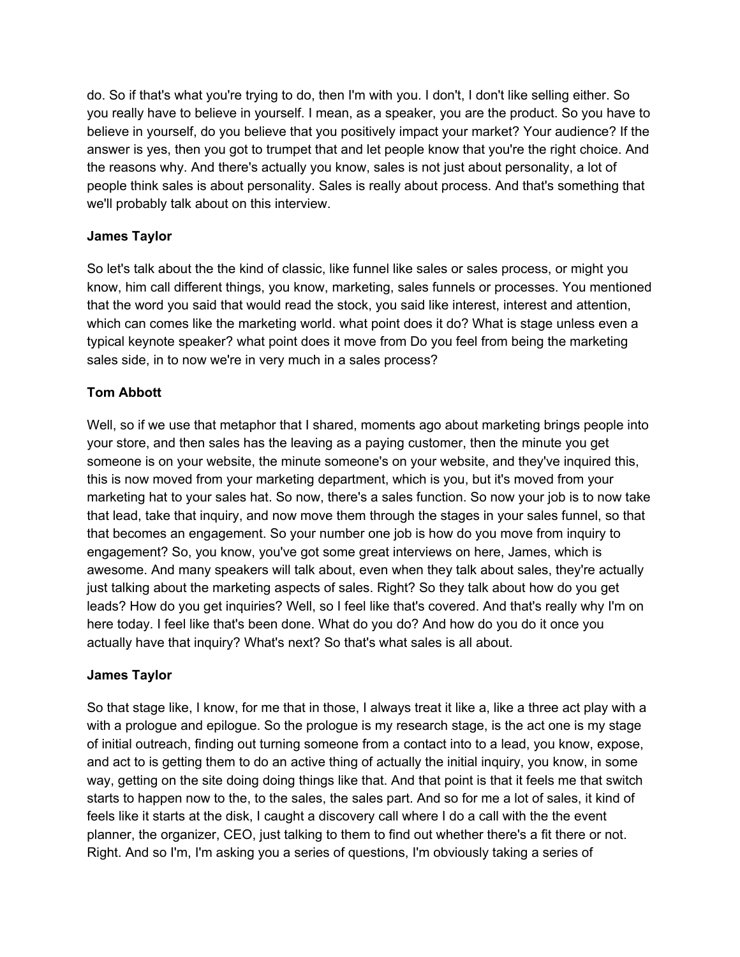do. So if that's what you're trying to do, then I'm with you. I don't, I don't like selling either. So you really have to believe in yourself. I mean, as a speaker, you are the product. So you have to believe in yourself, do you believe that you positively impact your market? Your audience? If the answer is yes, then you got to trumpet that and let people know that you're the right choice. And the reasons why. And there's actually you know, sales is not just about personality, a lot of people think sales is about personality. Sales is really about process. And that's something that we'll probably talk about on this interview.

## **James Taylor**

So let's talk about the the kind of classic, like funnel like sales or sales process, or might you know, him call different things, you know, marketing, sales funnels or processes. You mentioned that the word you said that would read the stock, you said like interest, interest and attention, which can comes like the marketing world. what point does it do? What is stage unless even a typical keynote speaker? what point does it move from Do you feel from being the marketing sales side, in to now we're in very much in a sales process?

# **Tom Abbott**

Well, so if we use that metaphor that I shared, moments ago about marketing brings people into your store, and then sales has the leaving as a paying customer, then the minute you get someone is on your website, the minute someone's on your website, and they've inquired this, this is now moved from your marketing department, which is you, but it's moved from your marketing hat to your sales hat. So now, there's a sales function. So now your job is to now take that lead, take that inquiry, and now move them through the stages in your sales funnel, so that that becomes an engagement. So your number one job is how do you move from inquiry to engagement? So, you know, you've got some great interviews on here, James, which is awesome. And many speakers will talk about, even when they talk about sales, they're actually just talking about the marketing aspects of sales. Right? So they talk about how do you get leads? How do you get inquiries? Well, so I feel like that's covered. And that's really why I'm on here today. I feel like that's been done. What do you do? And how do you do it once you actually have that inquiry? What's next? So that's what sales is all about.

## **James Taylor**

So that stage like, I know, for me that in those, I always treat it like a, like a three act play with a with a prologue and epilogue. So the prologue is my research stage, is the act one is my stage of initial outreach, finding out turning someone from a contact into to a lead, you know, expose, and act to is getting them to do an active thing of actually the initial inquiry, you know, in some way, getting on the site doing doing things like that. And that point is that it feels me that switch starts to happen now to the, to the sales, the sales part. And so for me a lot of sales, it kind of feels like it starts at the disk, I caught a discovery call where I do a call with the the event planner, the organizer, CEO, just talking to them to find out whether there's a fit there or not. Right. And so I'm, I'm asking you a series of questions, I'm obviously taking a series of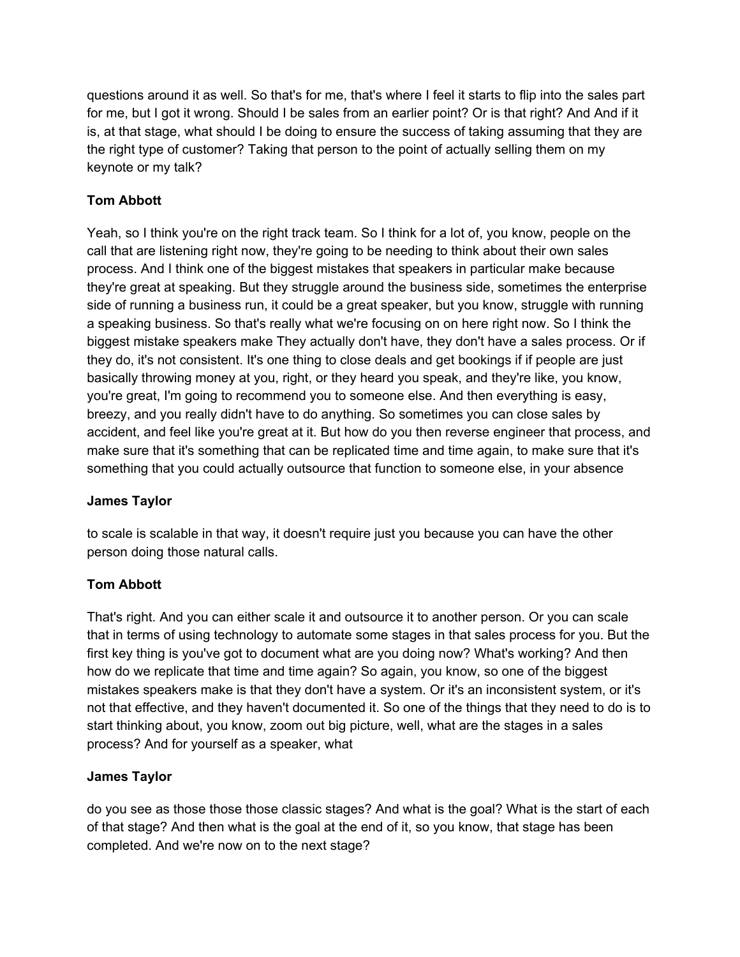questions around it as well. So that's for me, that's where I feel it starts to flip into the sales part for me, but I got it wrong. Should I be sales from an earlier point? Or is that right? And And if it is, at that stage, what should I be doing to ensure the success of taking assuming that they are the right type of customer? Taking that person to the point of actually selling them on my keynote or my talk?

# **Tom Abbott**

Yeah, so I think you're on the right track team. So I think for a lot of, you know, people on the call that are listening right now, they're going to be needing to think about their own sales process. And I think one of the biggest mistakes that speakers in particular make because they're great at speaking. But they struggle around the business side, sometimes the enterprise side of running a business run, it could be a great speaker, but you know, struggle with running a speaking business. So that's really what we're focusing on on here right now. So I think the biggest mistake speakers make They actually don't have, they don't have a sales process. Or if they do, it's not consistent. It's one thing to close deals and get bookings if if people are just basically throwing money at you, right, or they heard you speak, and they're like, you know, you're great, I'm going to recommend you to someone else. And then everything is easy, breezy, and you really didn't have to do anything. So sometimes you can close sales by accident, and feel like you're great at it. But how do you then reverse engineer that process, and make sure that it's something that can be replicated time and time again, to make sure that it's something that you could actually outsource that function to someone else, in your absence

## **James Taylor**

to scale is scalable in that way, it doesn't require just you because you can have the other person doing those natural calls.

## **Tom Abbott**

That's right. And you can either scale it and outsource it to another person. Or you can scale that in terms of using technology to automate some stages in that sales process for you. But the first key thing is you've got to document what are you doing now? What's working? And then how do we replicate that time and time again? So again, you know, so one of the biggest mistakes speakers make is that they don't have a system. Or it's an inconsistent system, or it's not that effective, and they haven't documented it. So one of the things that they need to do is to start thinking about, you know, zoom out big picture, well, what are the stages in a sales process? And for yourself as a speaker, what

## **James Taylor**

do you see as those those those classic stages? And what is the goal? What is the start of each of that stage? And then what is the goal at the end of it, so you know, that stage has been completed. And we're now on to the next stage?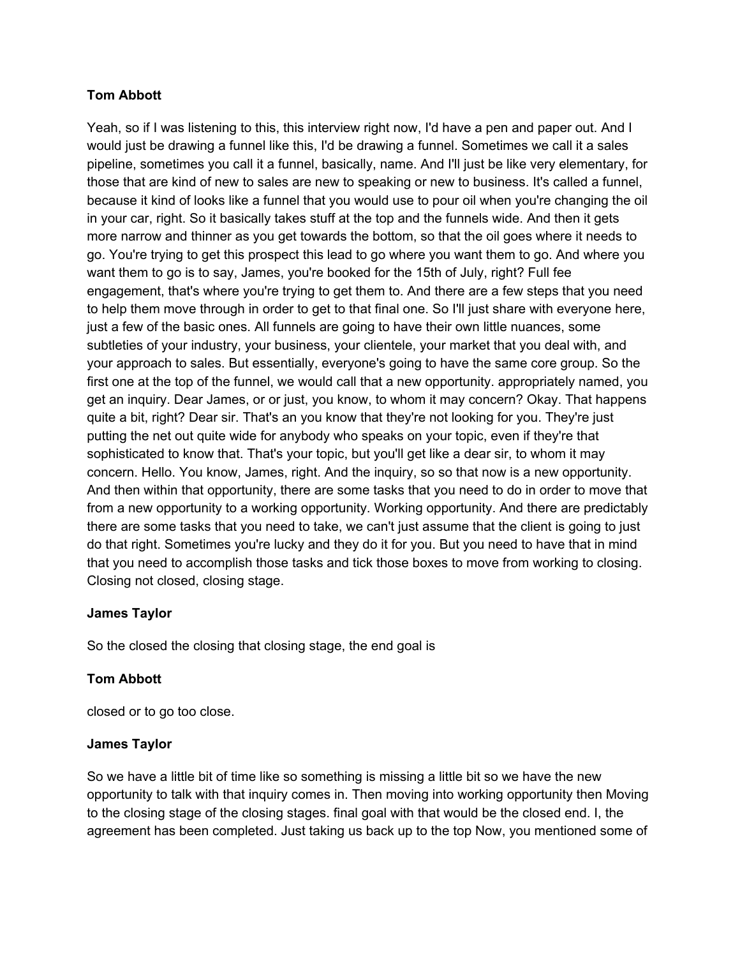#### **Tom Abbott**

Yeah, so if I was listening to this, this interview right now, I'd have a pen and paper out. And I would just be drawing a funnel like this, I'd be drawing a funnel. Sometimes we call it a sales pipeline, sometimes you call it a funnel, basically, name. And I'll just be like very elementary, for those that are kind of new to sales are new to speaking or new to business. It's called a funnel, because it kind of looks like a funnel that you would use to pour oil when you're changing the oil in your car, right. So it basically takes stuff at the top and the funnels wide. And then it gets more narrow and thinner as you get towards the bottom, so that the oil goes where it needs to go. You're trying to get this prospect this lead to go where you want them to go. And where you want them to go is to say, James, you're booked for the 15th of July, right? Full fee engagement, that's where you're trying to get them to. And there are a few steps that you need to help them move through in order to get to that final one. So I'll just share with everyone here, just a few of the basic ones. All funnels are going to have their own little nuances, some subtleties of your industry, your business, your clientele, your market that you deal with, and your approach to sales. But essentially, everyone's going to have the same core group. So the first one at the top of the funnel, we would call that a new opportunity. appropriately named, you get an inquiry. Dear James, or or just, you know, to whom it may concern? Okay. That happens quite a bit, right? Dear sir. That's an you know that they're not looking for you. They're just putting the net out quite wide for anybody who speaks on your topic, even if they're that sophisticated to know that. That's your topic, but you'll get like a dear sir, to whom it may concern. Hello. You know, James, right. And the inquiry, so so that now is a new opportunity. And then within that opportunity, there are some tasks that you need to do in order to move that from a new opportunity to a working opportunity. Working opportunity. And there are predictably there are some tasks that you need to take, we can't just assume that the client is going to just do that right. Sometimes you're lucky and they do it for you. But you need to have that in mind that you need to accomplish those tasks and tick those boxes to move from working to closing. Closing not closed, closing stage.

#### **James Taylor**

So the closed the closing that closing stage, the end goal is

## **Tom Abbott**

closed or to go too close.

#### **James Taylor**

So we have a little bit of time like so something is missing a little bit so we have the new opportunity to talk with that inquiry comes in. Then moving into working opportunity then Moving to the closing stage of the closing stages. final goal with that would be the closed end. I, the agreement has been completed. Just taking us back up to the top Now, you mentioned some of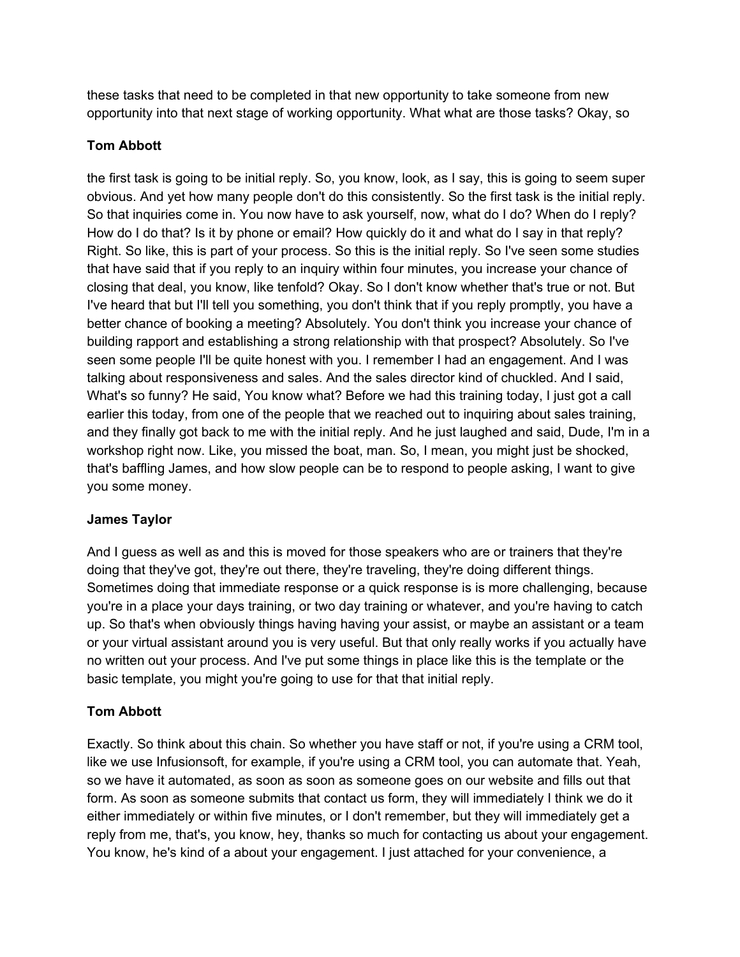these tasks that need to be completed in that new opportunity to take someone from new opportunity into that next stage of working opportunity. What what are those tasks? Okay, so

## **Tom Abbott**

the first task is going to be initial reply. So, you know, look, as I say, this is going to seem super obvious. And yet how many people don't do this consistently. So the first task is the initial reply. So that inquiries come in. You now have to ask yourself, now, what do I do? When do I reply? How do I do that? Is it by phone or email? How quickly do it and what do I say in that reply? Right. So like, this is part of your process. So this is the initial reply. So I've seen some studies that have said that if you reply to an inquiry within four minutes, you increase your chance of closing that deal, you know, like tenfold? Okay. So I don't know whether that's true or not. But I've heard that but I'll tell you something, you don't think that if you reply promptly, you have a better chance of booking a meeting? Absolutely. You don't think you increase your chance of building rapport and establishing a strong relationship with that prospect? Absolutely. So I've seen some people I'll be quite honest with you. I remember I had an engagement. And I was talking about responsiveness and sales. And the sales director kind of chuckled. And I said, What's so funny? He said, You know what? Before we had this training today, I just got a call earlier this today, from one of the people that we reached out to inquiring about sales training, and they finally got back to me with the initial reply. And he just laughed and said, Dude, I'm in a workshop right now. Like, you missed the boat, man. So, I mean, you might just be shocked, that's baffling James, and how slow people can be to respond to people asking, I want to give you some money.

## **James Taylor**

And I guess as well as and this is moved for those speakers who are or trainers that they're doing that they've got, they're out there, they're traveling, they're doing different things. Sometimes doing that immediate response or a quick response is is more challenging, because you're in a place your days training, or two day training or whatever, and you're having to catch up. So that's when obviously things having having your assist, or maybe an assistant or a team or your virtual assistant around you is very useful. But that only really works if you actually have no written out your process. And I've put some things in place like this is the template or the basic template, you might you're going to use for that that initial reply.

# **Tom Abbott**

Exactly. So think about this chain. So whether you have staff or not, if you're using a CRM tool, like we use Infusionsoft, for example, if you're using a CRM tool, you can automate that. Yeah, so we have it automated, as soon as soon as someone goes on our website and fills out that form. As soon as someone submits that contact us form, they will immediately I think we do it either immediately or within five minutes, or I don't remember, but they will immediately get a reply from me, that's, you know, hey, thanks so much for contacting us about your engagement. You know, he's kind of a about your engagement. I just attached for your convenience, a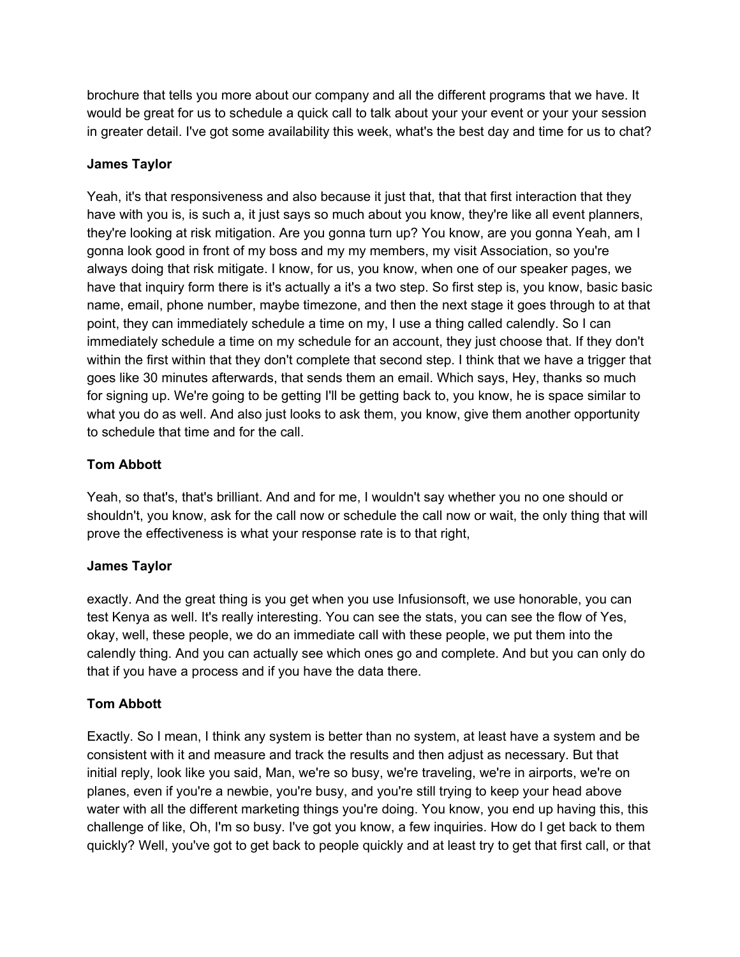brochure that tells you more about our company and all the different programs that we have. It would be great for us to schedule a quick call to talk about your your event or your your session in greater detail. I've got some availability this week, what's the best day and time for us to chat?

## **James Taylor**

Yeah, it's that responsiveness and also because it just that, that that first interaction that they have with you is, is such a, it just says so much about you know, they're like all event planners, they're looking at risk mitigation. Are you gonna turn up? You know, are you gonna Yeah, am I gonna look good in front of my boss and my my members, my visit Association, so you're always doing that risk mitigate. I know, for us, you know, when one of our speaker pages, we have that inquiry form there is it's actually a it's a two step. So first step is, you know, basic basic name, email, phone number, maybe timezone, and then the next stage it goes through to at that point, they can immediately schedule a time on my, I use a thing called calendly. So I can immediately schedule a time on my schedule for an account, they just choose that. If they don't within the first within that they don't complete that second step. I think that we have a trigger that goes like 30 minutes afterwards, that sends them an email. Which says, Hey, thanks so much for signing up. We're going to be getting I'll be getting back to, you know, he is space similar to what you do as well. And also just looks to ask them, you know, give them another opportunity to schedule that time and for the call.

# **Tom Abbott**

Yeah, so that's, that's brilliant. And and for me, I wouldn't say whether you no one should or shouldn't, you know, ask for the call now or schedule the call now or wait, the only thing that will prove the effectiveness is what your response rate is to that right,

## **James Taylor**

exactly. And the great thing is you get when you use Infusionsoft, we use honorable, you can test Kenya as well. It's really interesting. You can see the stats, you can see the flow of Yes, okay, well, these people, we do an immediate call with these people, we put them into the calendly thing. And you can actually see which ones go and complete. And but you can only do that if you have a process and if you have the data there.

## **Tom Abbott**

Exactly. So I mean, I think any system is better than no system, at least have a system and be consistent with it and measure and track the results and then adjust as necessary. But that initial reply, look like you said, Man, we're so busy, we're traveling, we're in airports, we're on planes, even if you're a newbie, you're busy, and you're still trying to keep your head above water with all the different marketing things you're doing. You know, you end up having this, this challenge of like, Oh, I'm so busy. I've got you know, a few inquiries. How do I get back to them quickly? Well, you've got to get back to people quickly and at least try to get that first call, or that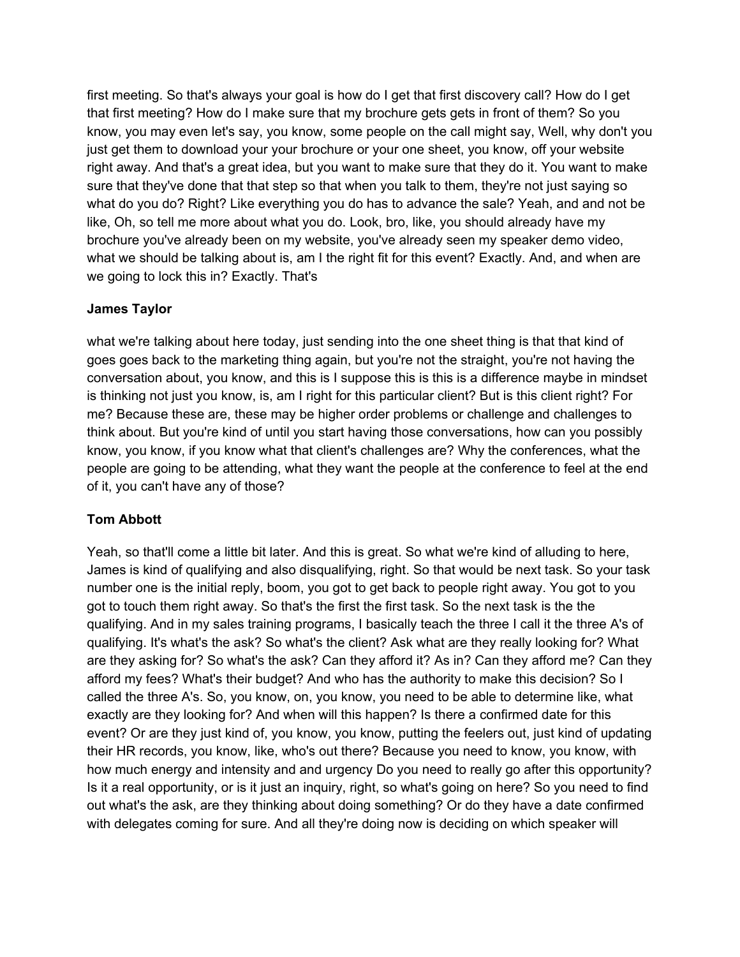first meeting. So that's always your goal is how do I get that first discovery call? How do I get that first meeting? How do I make sure that my brochure gets gets in front of them? So you know, you may even let's say, you know, some people on the call might say, Well, why don't you just get them to download your your brochure or your one sheet, you know, off your website right away. And that's a great idea, but you want to make sure that they do it. You want to make sure that they've done that that step so that when you talk to them, they're not just saying so what do you do? Right? Like everything you do has to advance the sale? Yeah, and and not be like, Oh, so tell me more about what you do. Look, bro, like, you should already have my brochure you've already been on my website, you've already seen my speaker demo video, what we should be talking about is, am I the right fit for this event? Exactly. And, and when are we going to lock this in? Exactly. That's

## **James Taylor**

what we're talking about here today, just sending into the one sheet thing is that that kind of goes goes back to the marketing thing again, but you're not the straight, you're not having the conversation about, you know, and this is I suppose this is this is a difference maybe in mindset is thinking not just you know, is, am I right for this particular client? But is this client right? For me? Because these are, these may be higher order problems or challenge and challenges to think about. But you're kind of until you start having those conversations, how can you possibly know, you know, if you know what that client's challenges are? Why the conferences, what the people are going to be attending, what they want the people at the conference to feel at the end of it, you can't have any of those?

# **Tom Abbott**

Yeah, so that'll come a little bit later. And this is great. So what we're kind of alluding to here, James is kind of qualifying and also disqualifying, right. So that would be next task. So your task number one is the initial reply, boom, you got to get back to people right away. You got to you got to touch them right away. So that's the first the first task. So the next task is the the qualifying. And in my sales training programs, I basically teach the three I call it the three A's of qualifying. It's what's the ask? So what's the client? Ask what are they really looking for? What are they asking for? So what's the ask? Can they afford it? As in? Can they afford me? Can they afford my fees? What's their budget? And who has the authority to make this decision? So I called the three A's. So, you know, on, you know, you need to be able to determine like, what exactly are they looking for? And when will this happen? Is there a confirmed date for this event? Or are they just kind of, you know, you know, putting the feelers out, just kind of updating their HR records, you know, like, who's out there? Because you need to know, you know, with how much energy and intensity and and urgency Do you need to really go after this opportunity? Is it a real opportunity, or is it just an inquiry, right, so what's going on here? So you need to find out what's the ask, are they thinking about doing something? Or do they have a date confirmed with delegates coming for sure. And all they're doing now is deciding on which speaker will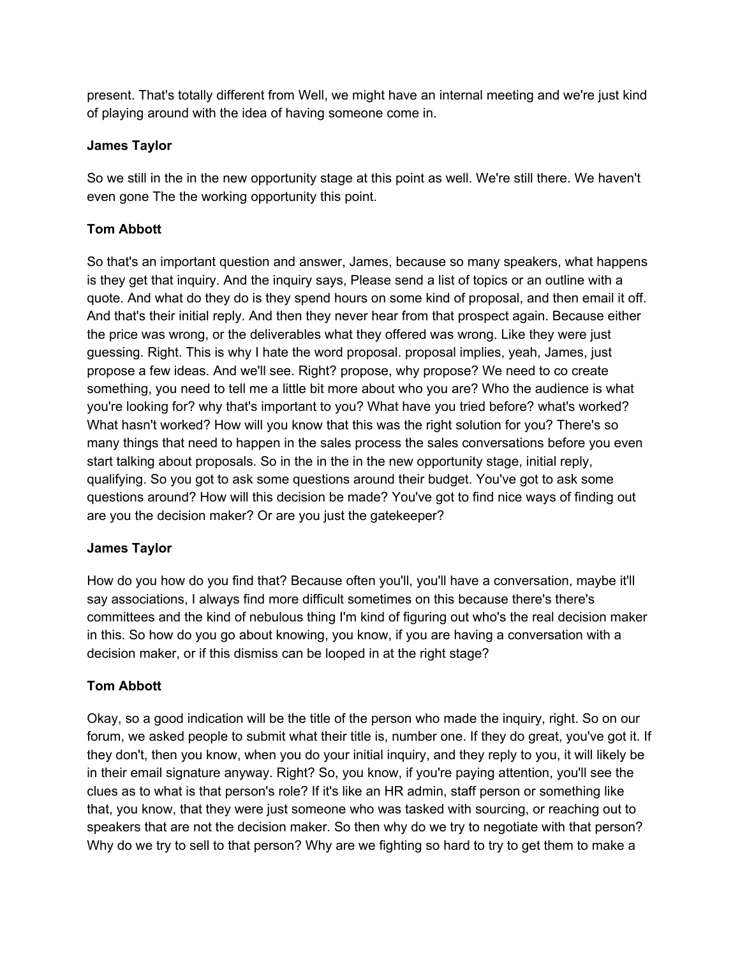present. That's totally different from Well, we might have an internal meeting and we're just kind of playing around with the idea of having someone come in.

## **James Taylor**

So we still in the in the new opportunity stage at this point as well. We're still there. We haven't even gone The the working opportunity this point.

## **Tom Abbott**

So that's an important question and answer, James, because so many speakers, what happens is they get that inquiry. And the inquiry says, Please send a list of topics or an outline with a quote. And what do they do is they spend hours on some kind of proposal, and then email it off. And that's their initial reply. And then they never hear from that prospect again. Because either the price was wrong, or the deliverables what they offered was wrong. Like they were just guessing. Right. This is why I hate the word proposal. proposal implies, yeah, James, just propose a few ideas. And we'll see. Right? propose, why propose? We need to co create something, you need to tell me a little bit more about who you are? Who the audience is what you're looking for? why that's important to you? What have you tried before? what's worked? What hasn't worked? How will you know that this was the right solution for you? There's so many things that need to happen in the sales process the sales conversations before you even start talking about proposals. So in the in the in the new opportunity stage, initial reply, qualifying. So you got to ask some questions around their budget. You've got to ask some questions around? How will this decision be made? You've got to find nice ways of finding out are you the decision maker? Or are you just the gatekeeper?

## **James Taylor**

How do you how do you find that? Because often you'll, you'll have a conversation, maybe it'll say associations, I always find more difficult sometimes on this because there's there's committees and the kind of nebulous thing I'm kind of figuring out who's the real decision maker in this. So how do you go about knowing, you know, if you are having a conversation with a decision maker, or if this dismiss can be looped in at the right stage?

## **Tom Abbott**

Okay, so a good indication will be the title of the person who made the inquiry, right. So on our forum, we asked people to submit what their title is, number one. If they do great, you've got it. If they don't, then you know, when you do your initial inquiry, and they reply to you, it will likely be in their email signature anyway. Right? So, you know, if you're paying attention, you'll see the clues as to what is that person's role? If it's like an HR admin, staff person or something like that, you know, that they were just someone who was tasked with sourcing, or reaching out to speakers that are not the decision maker. So then why do we try to negotiate with that person? Why do we try to sell to that person? Why are we fighting so hard to try to get them to make a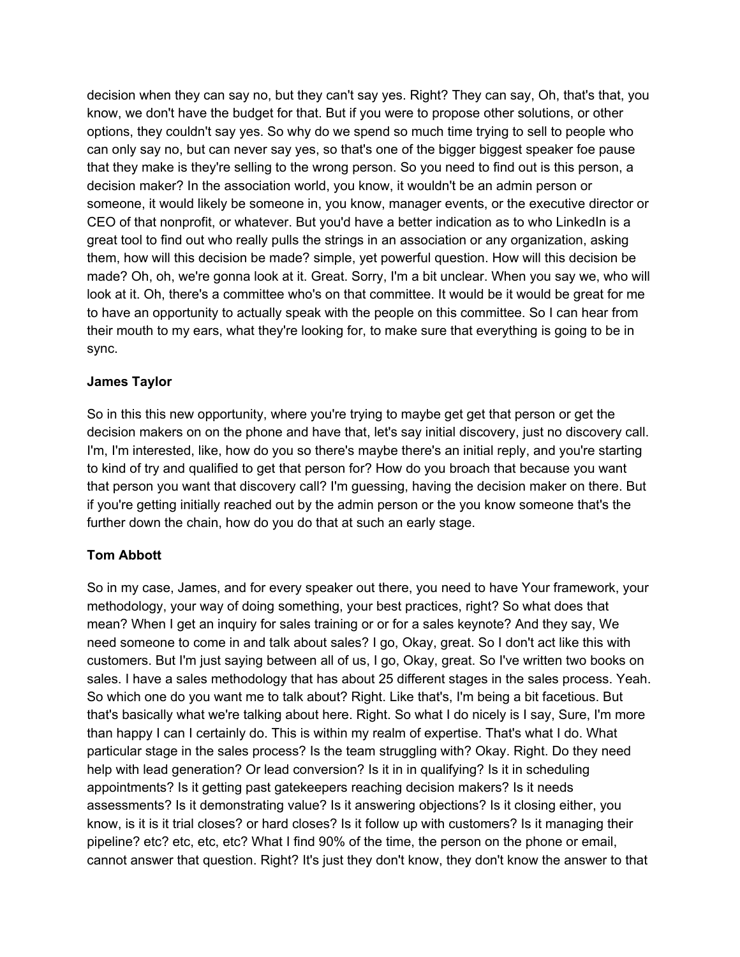decision when they can say no, but they can't say yes. Right? They can say, Oh, that's that, you know, we don't have the budget for that. But if you were to propose other solutions, or other options, they couldn't say yes. So why do we spend so much time trying to sell to people who can only say no, but can never say yes, so that's one of the bigger biggest speaker foe pause that they make is they're selling to the wrong person. So you need to find out is this person, a decision maker? In the association world, you know, it wouldn't be an admin person or someone, it would likely be someone in, you know, manager events, or the executive director or CEO of that nonprofit, or whatever. But you'd have a better indication as to who LinkedIn is a great tool to find out who really pulls the strings in an association or any organization, asking them, how will this decision be made? simple, yet powerful question. How will this decision be made? Oh, oh, we're gonna look at it. Great. Sorry, I'm a bit unclear. When you say we, who will look at it. Oh, there's a committee who's on that committee. It would be it would be great for me to have an opportunity to actually speak with the people on this committee. So I can hear from their mouth to my ears, what they're looking for, to make sure that everything is going to be in sync.

#### **James Taylor**

So in this this new opportunity, where you're trying to maybe get get that person or get the decision makers on on the phone and have that, let's say initial discovery, just no discovery call. I'm, I'm interested, like, how do you so there's maybe there's an initial reply, and you're starting to kind of try and qualified to get that person for? How do you broach that because you want that person you want that discovery call? I'm guessing, having the decision maker on there. But if you're getting initially reached out by the admin person or the you know someone that's the further down the chain, how do you do that at such an early stage.

## **Tom Abbott**

So in my case, James, and for every speaker out there, you need to have Your framework, your methodology, your way of doing something, your best practices, right? So what does that mean? When I get an inquiry for sales training or or for a sales keynote? And they say, We need someone to come in and talk about sales? I go, Okay, great. So I don't act like this with customers. But I'm just saying between all of us, I go, Okay, great. So I've written two books on sales. I have a sales methodology that has about 25 different stages in the sales process. Yeah. So which one do you want me to talk about? Right. Like that's, I'm being a bit facetious. But that's basically what we're talking about here. Right. So what I do nicely is I say, Sure, I'm more than happy I can I certainly do. This is within my realm of expertise. That's what I do. What particular stage in the sales process? Is the team struggling with? Okay. Right. Do they need help with lead generation? Or lead conversion? Is it in in qualifying? Is it in scheduling appointments? Is it getting past gatekeepers reaching decision makers? Is it needs assessments? Is it demonstrating value? Is it answering objections? Is it closing either, you know, is it is it trial closes? or hard closes? Is it follow up with customers? Is it managing their pipeline? etc? etc, etc, etc? What I find 90% of the time, the person on the phone or email, cannot answer that question. Right? It's just they don't know, they don't know the answer to that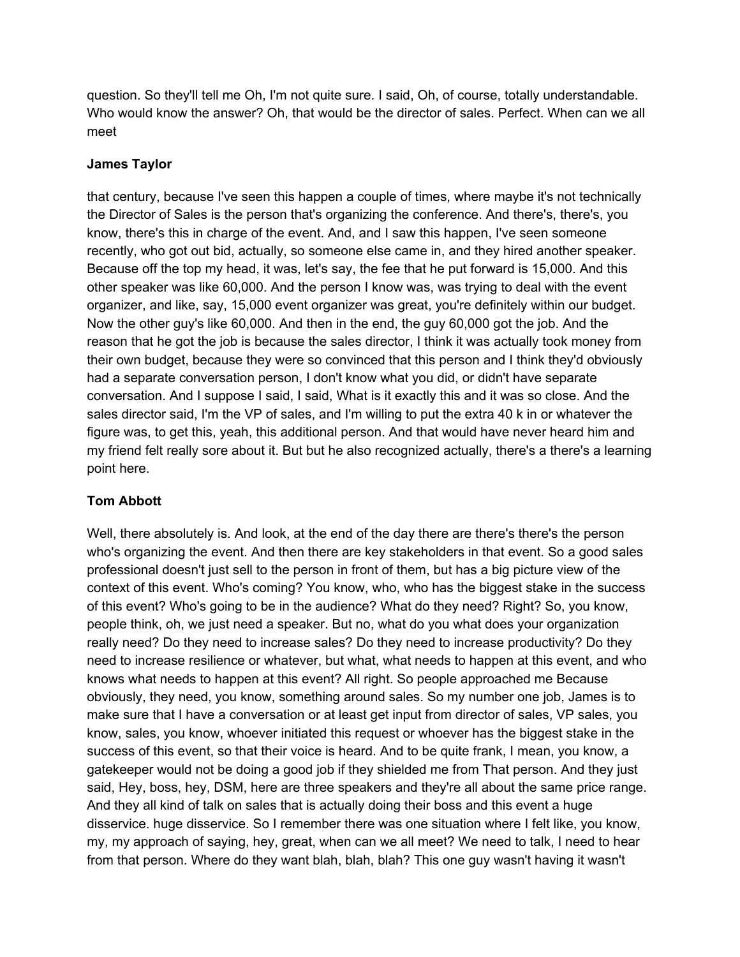question. So they'll tell me Oh, I'm not quite sure. I said, Oh, of course, totally understandable. Who would know the answer? Oh, that would be the director of sales. Perfect. When can we all meet

## **James Taylor**

that century, because I've seen this happen a couple of times, where maybe it's not technically the Director of Sales is the person that's organizing the conference. And there's, there's, you know, there's this in charge of the event. And, and I saw this happen, I've seen someone recently, who got out bid, actually, so someone else came in, and they hired another speaker. Because off the top my head, it was, let's say, the fee that he put forward is 15,000. And this other speaker was like 60,000. And the person I know was, was trying to deal with the event organizer, and like, say, 15,000 event organizer was great, you're definitely within our budget. Now the other guy's like 60,000. And then in the end, the guy 60,000 got the job. And the reason that he got the job is because the sales director, I think it was actually took money from their own budget, because they were so convinced that this person and I think they'd obviously had a separate conversation person, I don't know what you did, or didn't have separate conversation. And I suppose I said, I said, What is it exactly this and it was so close. And the sales director said, I'm the VP of sales, and I'm willing to put the extra 40 k in or whatever the figure was, to get this, yeah, this additional person. And that would have never heard him and my friend felt really sore about it. But but he also recognized actually, there's a there's a learning point here.

## **Tom Abbott**

Well, there absolutely is. And look, at the end of the day there are there's there's the person who's organizing the event. And then there are key stakeholders in that event. So a good sales professional doesn't just sell to the person in front of them, but has a big picture view of the context of this event. Who's coming? You know, who, who has the biggest stake in the success of this event? Who's going to be in the audience? What do they need? Right? So, you know, people think, oh, we just need a speaker. But no, what do you what does your organization really need? Do they need to increase sales? Do they need to increase productivity? Do they need to increase resilience or whatever, but what, what needs to happen at this event, and who knows what needs to happen at this event? All right. So people approached me Because obviously, they need, you know, something around sales. So my number one job, James is to make sure that I have a conversation or at least get input from director of sales, VP sales, you know, sales, you know, whoever initiated this request or whoever has the biggest stake in the success of this event, so that their voice is heard. And to be quite frank, I mean, you know, a gatekeeper would not be doing a good job if they shielded me from That person. And they just said, Hey, boss, hey, DSM, here are three speakers and they're all about the same price range. And they all kind of talk on sales that is actually doing their boss and this event a huge disservice. huge disservice. So I remember there was one situation where I felt like, you know, my, my approach of saying, hey, great, when can we all meet? We need to talk, I need to hear from that person. Where do they want blah, blah, blah? This one guy wasn't having it wasn't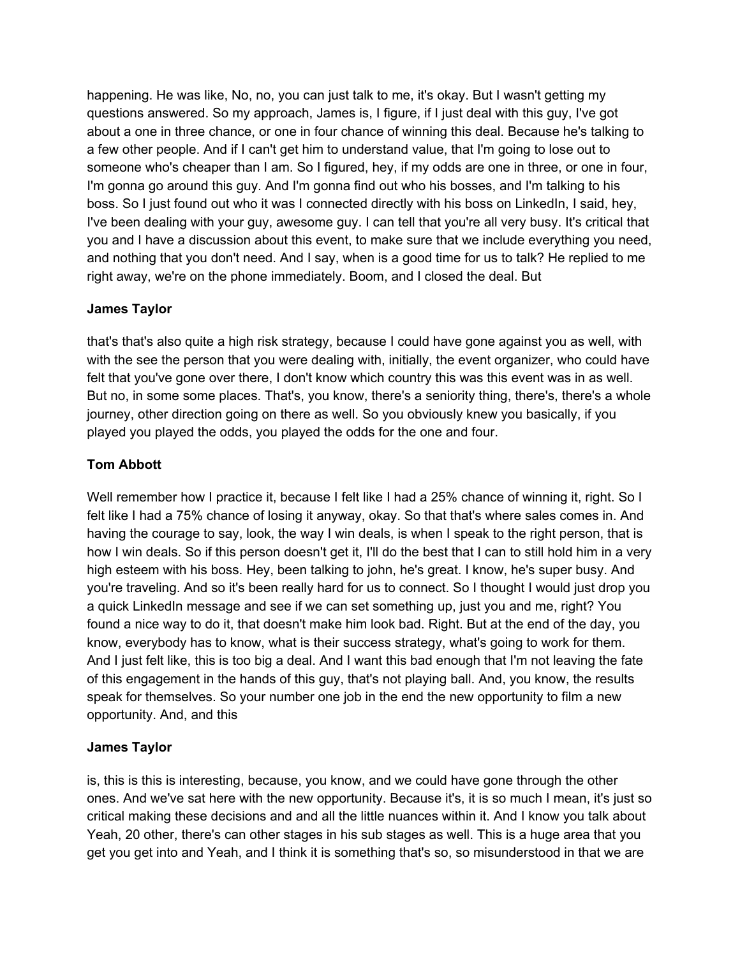happening. He was like, No, no, you can just talk to me, it's okay. But I wasn't getting my questions answered. So my approach, James is, I figure, if I just deal with this guy, I've got about a one in three chance, or one in four chance of winning this deal. Because he's talking to a few other people. And if I can't get him to understand value, that I'm going to lose out to someone who's cheaper than I am. So I figured, hey, if my odds are one in three, or one in four, I'm gonna go around this guy. And I'm gonna find out who his bosses, and I'm talking to his boss. So I just found out who it was I connected directly with his boss on LinkedIn, I said, hey, I've been dealing with your guy, awesome guy. I can tell that you're all very busy. It's critical that you and I have a discussion about this event, to make sure that we include everything you need, and nothing that you don't need. And I say, when is a good time for us to talk? He replied to me right away, we're on the phone immediately. Boom, and I closed the deal. But

## **James Taylor**

that's that's also quite a high risk strategy, because I could have gone against you as well, with with the see the person that you were dealing with, initially, the event organizer, who could have felt that you've gone over there, I don't know which country this was this event was in as well. But no, in some some places. That's, you know, there's a seniority thing, there's, there's a whole journey, other direction going on there as well. So you obviously knew you basically, if you played you played the odds, you played the odds for the one and four.

# **Tom Abbott**

Well remember how I practice it, because I felt like I had a 25% chance of winning it, right. So I felt like I had a 75% chance of losing it anyway, okay. So that that's where sales comes in. And having the courage to say, look, the way I win deals, is when I speak to the right person, that is how I win deals. So if this person doesn't get it, I'll do the best that I can to still hold him in a very high esteem with his boss. Hey, been talking to john, he's great. I know, he's super busy. And you're traveling. And so it's been really hard for us to connect. So I thought I would just drop you a quick LinkedIn message and see if we can set something up, just you and me, right? You found a nice way to do it, that doesn't make him look bad. Right. But at the end of the day, you know, everybody has to know, what is their success strategy, what's going to work for them. And I just felt like, this is too big a deal. And I want this bad enough that I'm not leaving the fate of this engagement in the hands of this guy, that's not playing ball. And, you know, the results speak for themselves. So your number one job in the end the new opportunity to film a new opportunity. And, and this

## **James Taylor**

is, this is this is interesting, because, you know, and we could have gone through the other ones. And we've sat here with the new opportunity. Because it's, it is so much I mean, it's just so critical making these decisions and and all the little nuances within it. And I know you talk about Yeah, 20 other, there's can other stages in his sub stages as well. This is a huge area that you get you get into and Yeah, and I think it is something that's so, so misunderstood in that we are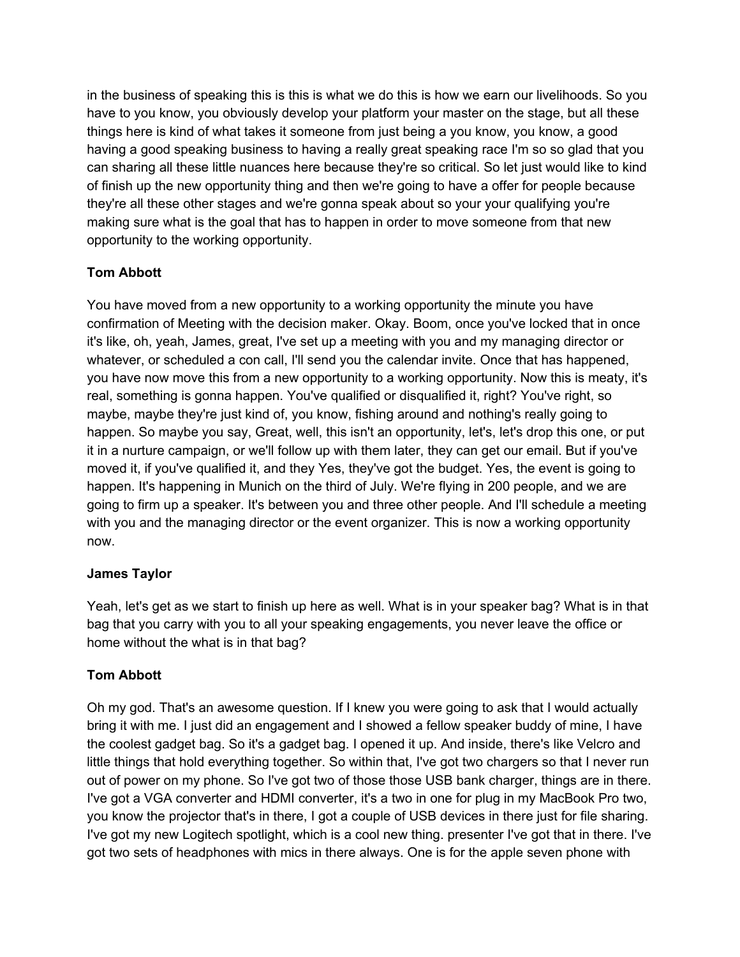in the business of speaking this is this is what we do this is how we earn our livelihoods. So you have to you know, you obviously develop your platform your master on the stage, but all these things here is kind of what takes it someone from just being a you know, you know, a good having a good speaking business to having a really great speaking race I'm so so glad that you can sharing all these little nuances here because they're so critical. So let just would like to kind of finish up the new opportunity thing and then we're going to have a offer for people because they're all these other stages and we're gonna speak about so your your qualifying you're making sure what is the goal that has to happen in order to move someone from that new opportunity to the working opportunity.

# **Tom Abbott**

You have moved from a new opportunity to a working opportunity the minute you have confirmation of Meeting with the decision maker. Okay. Boom, once you've locked that in once it's like, oh, yeah, James, great, I've set up a meeting with you and my managing director or whatever, or scheduled a con call, I'll send you the calendar invite. Once that has happened, you have now move this from a new opportunity to a working opportunity. Now this is meaty, it's real, something is gonna happen. You've qualified or disqualified it, right? You've right, so maybe, maybe they're just kind of, you know, fishing around and nothing's really going to happen. So maybe you say, Great, well, this isn't an opportunity, let's, let's drop this one, or put it in a nurture campaign, or we'll follow up with them later, they can get our email. But if you've moved it, if you've qualified it, and they Yes, they've got the budget. Yes, the event is going to happen. It's happening in Munich on the third of July. We're flying in 200 people, and we are going to firm up a speaker. It's between you and three other people. And I'll schedule a meeting with you and the managing director or the event organizer. This is now a working opportunity now.

## **James Taylor**

Yeah, let's get as we start to finish up here as well. What is in your speaker bag? What is in that bag that you carry with you to all your speaking engagements, you never leave the office or home without the what is in that bag?

## **Tom Abbott**

Oh my god. That's an awesome question. If I knew you were going to ask that I would actually bring it with me. I just did an engagement and I showed a fellow speaker buddy of mine, I have the coolest gadget bag. So it's a gadget bag. I opened it up. And inside, there's like Velcro and little things that hold everything together. So within that, I've got two chargers so that I never run out of power on my phone. So I've got two of those those USB bank charger, things are in there. I've got a VGA converter and HDMI converter, it's a two in one for plug in my MacBook Pro two, you know the projector that's in there, I got a couple of USB devices in there just for file sharing. I've got my new Logitech spotlight, which is a cool new thing. presenter I've got that in there. I've got two sets of headphones with mics in there always. One is for the apple seven phone with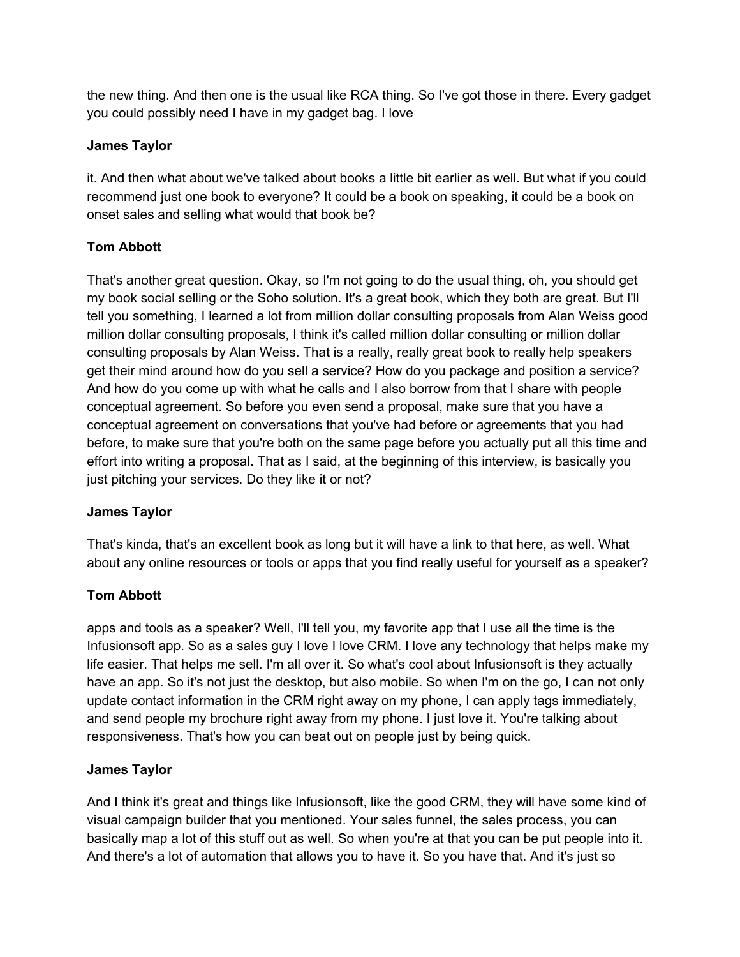the new thing. And then one is the usual like RCA thing. So I've got those in there. Every gadget you could possibly need I have in my gadget bag. I love

## **James Taylor**

it. And then what about we've talked about books a little bit earlier as well. But what if you could recommend just one book to everyone? It could be a book on speaking, it could be a book on onset sales and selling what would that book be?

# **Tom Abbott**

That's another great question. Okay, so I'm not going to do the usual thing, oh, you should get my book social selling or the Soho solution. It's a great book, which they both are great. But I'll tell you something, I learned a lot from million dollar consulting proposals from Alan Weiss good million dollar consulting proposals, I think it's called million dollar consulting or million dollar consulting proposals by Alan Weiss. That is a really, really great book to really help speakers get their mind around how do you sell a service? How do you package and position a service? And how do you come up with what he calls and I also borrow from that I share with people conceptual agreement. So before you even send a proposal, make sure that you have a conceptual agreement on conversations that you've had before or agreements that you had before, to make sure that you're both on the same page before you actually put all this time and effort into writing a proposal. That as I said, at the beginning of this interview, is basically you just pitching your services. Do they like it or not?

# **James Taylor**

That's kinda, that's an excellent book as long but it will have a link to that here, as well. What about any online resources or tools or apps that you find really useful for yourself as a speaker?

# **Tom Abbott**

apps and tools as a speaker? Well, I'll tell you, my favorite app that I use all the time is the Infusionsoft app. So as a sales guy I love I love CRM. I love any technology that helps make my life easier. That helps me sell. I'm all over it. So what's cool about Infusionsoft is they actually have an app. So it's not just the desktop, but also mobile. So when I'm on the go, I can not only update contact information in the CRM right away on my phone, I can apply tags immediately, and send people my brochure right away from my phone. I just love it. You're talking about responsiveness. That's how you can beat out on people just by being quick.

## **James Taylor**

And I think it's great and things like Infusionsoft, like the good CRM, they will have some kind of visual campaign builder that you mentioned. Your sales funnel, the sales process, you can basically map a lot of this stuff out as well. So when you're at that you can be put people into it. And there's a lot of automation that allows you to have it. So you have that. And it's just so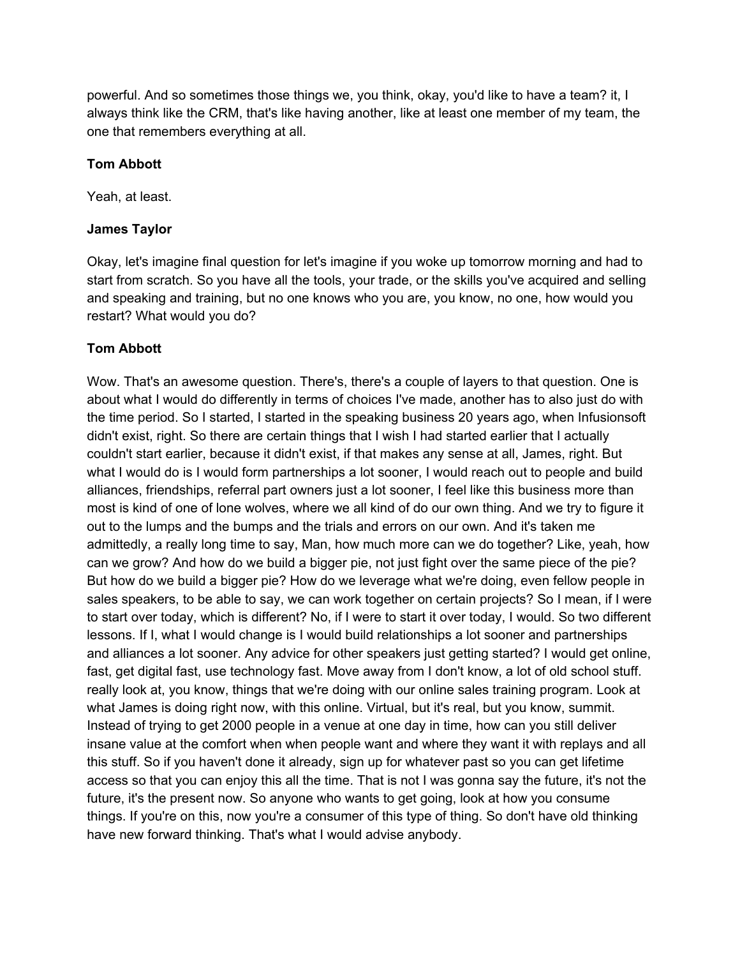powerful. And so sometimes those things we, you think, okay, you'd like to have a team? it, I always think like the CRM, that's like having another, like at least one member of my team, the one that remembers everything at all.

#### **Tom Abbott**

Yeah, at least.

#### **James Taylor**

Okay, let's imagine final question for let's imagine if you woke up tomorrow morning and had to start from scratch. So you have all the tools, your trade, or the skills you've acquired and selling and speaking and training, but no one knows who you are, you know, no one, how would you restart? What would you do?

## **Tom Abbott**

Wow. That's an awesome question. There's, there's a couple of layers to that question. One is about what I would do differently in terms of choices I've made, another has to also just do with the time period. So I started, I started in the speaking business 20 years ago, when Infusionsoft didn't exist, right. So there are certain things that I wish I had started earlier that I actually couldn't start earlier, because it didn't exist, if that makes any sense at all, James, right. But what I would do is I would form partnerships a lot sooner, I would reach out to people and build alliances, friendships, referral part owners just a lot sooner, I feel like this business more than most is kind of one of lone wolves, where we all kind of do our own thing. And we try to figure it out to the lumps and the bumps and the trials and errors on our own. And it's taken me admittedly, a really long time to say, Man, how much more can we do together? Like, yeah, how can we grow? And how do we build a bigger pie, not just fight over the same piece of the pie? But how do we build a bigger pie? How do we leverage what we're doing, even fellow people in sales speakers, to be able to say, we can work together on certain projects? So I mean, if I were to start over today, which is different? No, if I were to start it over today, I would. So two different lessons. If I, what I would change is I would build relationships a lot sooner and partnerships and alliances a lot sooner. Any advice for other speakers just getting started? I would get online, fast, get digital fast, use technology fast. Move away from I don't know, a lot of old school stuff. really look at, you know, things that we're doing with our online sales training program. Look at what James is doing right now, with this online. Virtual, but it's real, but you know, summit. Instead of trying to get 2000 people in a venue at one day in time, how can you still deliver insane value at the comfort when when people want and where they want it with replays and all this stuff. So if you haven't done it already, sign up for whatever past so you can get lifetime access so that you can enjoy this all the time. That is not I was gonna say the future, it's not the future, it's the present now. So anyone who wants to get going, look at how you consume things. If you're on this, now you're a consumer of this type of thing. So don't have old thinking have new forward thinking. That's what I would advise anybody.